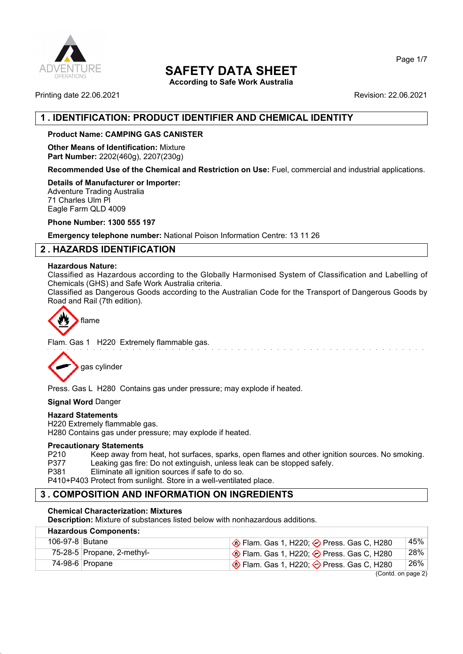

## **SAFETY DATA SHEET**

**According to Safe Work Australia**

Printing date 22.06.2021 **Revision: 22.06.2021** 

## **1 . IDENTIFICATION: PRODUCT IDENTIFIER AND CHEMICAL IDENTITY**

### **Product Name: CAMPING GAS CANISTER**

**Other Means of Identification:** Mixture **Part Number:** 2202(460g), 2207(230g)

**Recommended Use of the Chemical and Restriction on Use:** Fuel, commercial and industrial applications.

**Details of Manufacturer or Importer:**

Adventure Trading Australia 71 Charles Ulm Pl Eagle Farm QLD 4009

**Phone Number: 1300 555 197**

**Emergency telephone number:** National Poison Information Centre: 13 11 26

## **2 . HAZARDS IDENTIFICATION**

#### **Hazardous Nature:**

Classified as Hazardous according to the Globally Harmonised System of Classification and Labelling of Chemicals (GHS) and Safe Work Australia criteria.

Classified as Dangerous Goods according to the Australian Code for the Transport of Dangerous Goods by Road and Rail (7th edition).



Flam. Gas 1 H220 Extremely flammable gas.



Press. Gas L H280 Contains gas under pressure; may explode if heated.

**Signal Word** Danger

#### **Hazard Statements**

H220 Extremely flammable gas. H280 Contains gas under pressure; may explode if heated.

#### **Precautionary Statements**

P210 Keep away from heat, hot surfaces, sparks, open flames and other ignition sources. No smoking.<br>P377 Leaking gas fire: Do not extinguish, unless leak can be stopped safely. Leaking gas fire: Do not extinguish, unless leak can be stopped safely.

P381 Eliminate all ignition sources if safe to do so.

P410+P403 Protect from sunlight. Store in a well-ventilated place.

## **3 . COMPOSITION AND INFORMATION ON INGREDIENTS**

#### **Chemical Characterization: Mixtures**

**Description:** Mixture of substances listed below with nonhazardous additions.

| <b>Hazardous Components:</b> |                            |                                                                 |     |  |
|------------------------------|----------------------------|-----------------------------------------------------------------|-----|--|
| 106-97-8 Butane              |                            | $\bigotimes$ Flam. Gas 1, H220; $\bigotimes$ Press. Gas C, H280 | 45% |  |
|                              | 75-28-5 Propane, 2-methyl- | $\Diamond$ Flam. Gas 1, H220; $\Diamond$ Press. Gas C, H280     | 28% |  |
|                              | 74-98-6 Propane            | $\bigotimes$ Flam. Gas 1, H220; $\bigotimes$ Press. Gas C, H280 | 26% |  |
| (Contdonpose 2)              |                            |                                                                 |     |  |

(Contd. on page 2)

Page 1/7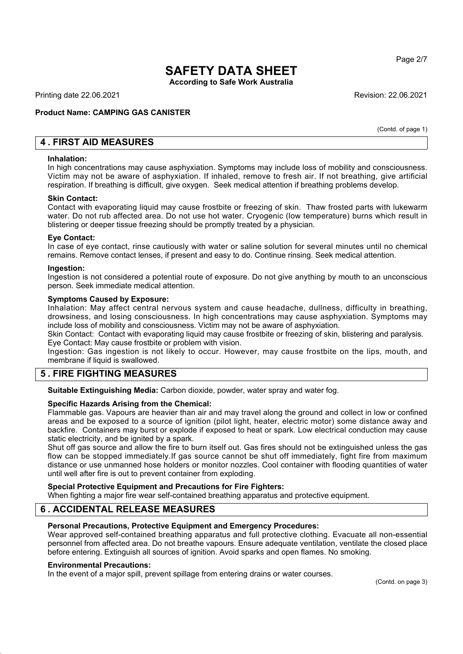Page 2/7

# **SAFETY DATA SHEET**

**According to Safe Work Australia**

Printing date 22.06.2021 Revision: 22.06.2021

#### **Product Name: CAMPING GAS CANISTER**

(Contd. of page 1)

## **4 . FIRST AID MEASURES**

#### **Inhalation:**

In high concentrations may cause asphyxiation. Symptoms may include loss of mobility and consciousness. Victim may not be aware of asphyxiation. If inhaled, remove to fresh air. If not breathing, give artificial respiration. If breathing is difficult, give oxygen. Seek medical attention if breathing problems develop.

#### **Skin Contact:**

Contact with evaporating liquid may cause frostbite or freezing of skin. Thaw frosted parts with lukewarm water. Do not rub affected area. Do not use hot water. Cryogenic (low temperature) burns which result in blistering or deeper tissue freezing should be promptly treated by a physician.

#### **Eye Contact:**

In case of eye contact, rinse cautiously with water or saline solution for several minutes until no chemical remains. Remove contact lenses, if present and easy to do. Continue rinsing. Seek medical attention.

#### **Ingestion:**

Ingestion is not considered a potential route of exposure. Do not give anything by mouth to an unconscious person. Seek immediate medical attention.

#### **Symptoms Caused by Exposure:**

Inhalation: May affect central nervous system and cause headache, dullness, difficulty in breathing, drowsiness, and losing consciousness. In high concentrations may cause asphyxiation. Symptoms may include loss of mobility and consciousness. Victim may not be aware of asphyxiation.

Skin Contact: Contact with evaporating liquid may cause frostbite or freezing of skin, blistering and paralysis. Eye Contact: May cause frostbite or problem with vision.

Ingestion: Gas ingestion is not likely to occur. However, may cause frostbite on the lips, mouth, and membrane if liquid is swallowed.

### **5 . FIRE FIGHTING MEASURES**

**Suitable Extinguishing Media:** Carbon dioxide, powder, water spray and water fog.

#### **Specific Hazards Arising from the Chemical:**

Flammable gas. Vapours are heavier than air and may travel along the ground and collect in low or confined areas and be exposed to a source of ignition (pilot light, heater, electric motor) some distance away and backfire. Containers may burst or explode if exposed to heat or spark. Low electrical conduction may cause static electricity, and be ignited by a spark.

Shut off gas source and allow the fire to burn itself out. Gas fires should not be extinguished unless the gas flow can be stopped immediately.If gas source cannot be shut off immediately, fight fire from maximum distance or use unmanned hose holders or monitor nozzles. Cool container with flooding quantities of water until well after fire is out to prevent container from exploding.

#### **Special Protective Equipment and Precautions for Fire Fighters:** When fighting a major fire wear self-contained breathing apparatus and protective equipment.

## **6 . ACCIDENTAL RELEASE MEASURES**

#### **Personal Precautions, Protective Equipment and Emergency Procedures:**

Wear approved self-contained breathing apparatus and full protective clothing. Evacuate all non-essential personnel from affected area. Do not breathe vapours. Ensure adequate ventilation, ventilate the closed place before entering. Extinguish all sources of ignition. Avoid sparks and open flames. No smoking.

#### **Environmental Precautions:**

In the event of a major spill, prevent spillage from entering drains or water courses.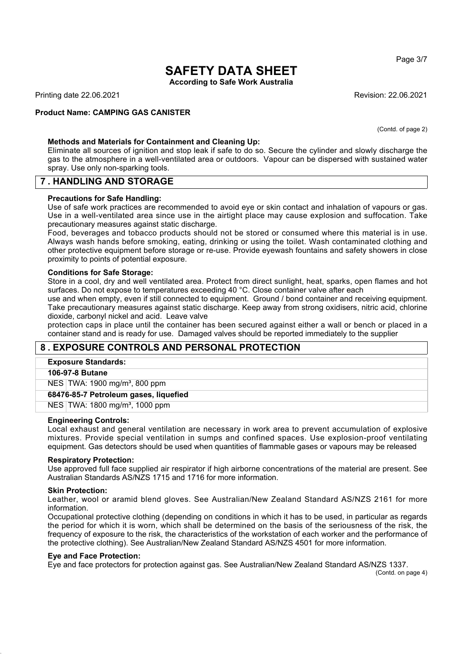Page 3/7

## **SAFETY DATA SHEET**

**According to Safe Work Australia**

Printing date 22.06.2021 Revision: 22.06.2021

#### **Product Name: CAMPING GAS CANISTER**

(Contd. of page 2)

#### **Methods and Materials for Containment and Cleaning Up:**

Eliminate all sources of ignition and stop leak if safe to do so. Secure the cylinder and slowly discharge the gas to the atmosphere in a well-ventilated area or outdoors. Vapour can be dispersed with sustained water spray. Use only non-sparking tools.

### **7 . HANDLING AND STORAGE**

#### **Precautions for Safe Handling:**

Use of safe work practices are recommended to avoid eye or skin contact and inhalation of vapours or gas. Use in a well-ventilated area since use in the airtight place may cause explosion and suffocation. Take precautionary measures against static discharge.

Food, beverages and tobacco products should not be stored or consumed where this material is in use. Always wash hands before smoking, eating, drinking or using the toilet. Wash contaminated clothing and other protective equipment before storage or re-use. Provide eyewash fountains and safety showers in close proximity to points of potential exposure.

#### **Conditions for Safe Storage:**

Store in a cool, dry and well ventilated area. Protect from direct sunlight, heat, sparks, open flames and hot surfaces. Do not expose to temperatures exceeding 40 °C. Close container valve after each

use and when empty, even if still connected to equipment. Ground / bond container and receiving equipment. Take precautionary measures against static discharge. Keep away from strong oxidisers, nitric acid, chlorine dioxide, carbonyl nickel and acid. Leave valve

protection caps in place until the container has been secured against either a wall or bench or placed in a container stand and is ready for use. Damaged valves should be reported immediately to the supplier

## **8 . EXPOSURE CONTROLS AND PERSONAL PROTECTION**

#### **Exposure Standards:**

#### **106-97-8 Butane**

NES TWA: 1900 mg/m<sup>3</sup>, 800 ppm

**68476-85-7 Petroleum gases, liquefied**

NES TWA: 1800 mg/m³, 1000 ppm

#### **Engineering Controls:**

Local exhaust and general ventilation are necessary in work area to prevent accumulation of explosive mixtures. Provide special ventilation in sumps and confined spaces. Use explosion-proof ventilating equipment. Gas detectors should be used when quantities of flammable gases or vapours may be released

#### **Respiratory Protection:**

Use approved full face supplied air respirator if high airborne concentrations of the material are present. See Australian Standards AS/NZS 1715 and 1716 for more information.

#### **Skin Protection:**

Leather, wool or aramid blend gloves. See Australian/New Zealand Standard AS/NZS 2161 for more information.

Occupational protective clothing (depending on conditions in which it has to be used, in particular as regards the period for which it is worn, which shall be determined on the basis of the seriousness of the risk, the frequency of exposure to the risk, the characteristics of the workstation of each worker and the performance of the protective clothing). See Australian/New Zealand Standard AS/NZS 4501 for more information.

#### **Eye and Face Protection:**

Eye and face protectors for protection against gas. See Australian/New Zealand Standard AS/NZS 1337.

(Contd. on page 4)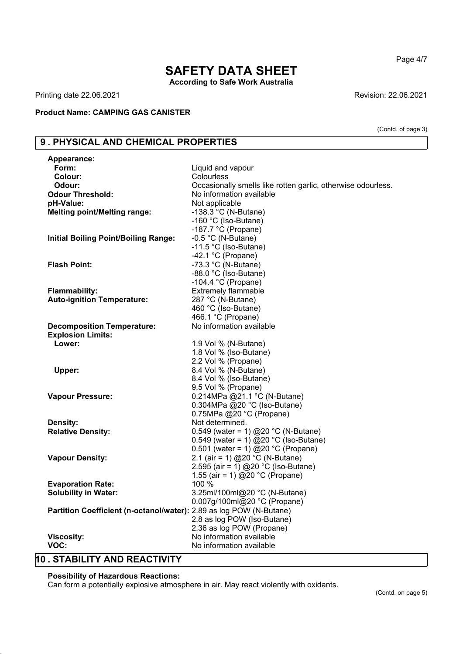Page 4/7

(Contd. of page 3)

## **SAFETY DATA SHEET According to Safe Work Australia**

Printing date 22.06.2021 **Revision: 22.06.2021** Revision: 22.06.2021

### **Product Name: CAMPING GAS CANISTER**

## **9 . PHYSICAL AND CHEMICAL PROPERTIES**

| Form:<br>Colour:<br>Colourless<br>Odour:<br>Occasionally smells like rotten garlic, otherwise odourless.<br>No information available<br><b>Odour Threshold:</b><br>Not applicable<br>pH-Value:<br><b>Melting point/Melting range:</b><br>-138.3 $^{\circ}$ C (N-Butane)<br>-160 °C (Iso-Butane)<br>-187.7 $°C$ (Propane)<br>$-0.5$ °C (N-Butane)<br><b>Initial Boiling Point/Boiling Range:</b><br>-11.5 °C (Iso-Butane)<br>-42.1 $°C$ (Propane)<br>-73.3 $^{\circ}$ C (N-Butane)<br><b>Flash Point:</b><br>-88.0 °C (Iso-Butane)<br>-104.4 $^{\circ}$ C (Propane)<br><b>Extremely flammable</b><br><b>Flammability:</b><br><b>Auto-ignition Temperature:</b><br>287 °C (N-Butane)<br>460 °C (Iso-Butane)<br>466.1 °C (Propane)<br>No information available<br><b>Decomposition Temperature:</b><br><b>Explosion Limits:</b><br>Lower:<br>1.9 Vol % (N-Butane)<br>1.8 Vol % (Iso-Butane)<br>2.2 Vol % (Propane)<br>8.4 Vol % (N-Butane)<br>Upper:<br>8.4 Vol % (Iso-Butane)<br>9.5 Vol % (Propane)<br>0.214MPa @21.1 °C (N-Butane)<br><b>Vapour Pressure:</b><br>0.304MPa @20 °C (Iso-Butane)<br>0.75MPa @20 °C (Propane)<br><b>Density:</b><br>Not determined.<br><b>Relative Density:</b><br>0.549 (water = 1) @20 °C (N-Butane)<br>0.549 (water = 1) @20 °C (Iso-Butane)<br>0.501 (water = 1) @20 °C (Propane)<br>2.1 (air = 1) @20 °C (N-Butane)<br><b>Vapour Density:</b><br>2.595 (air = 1) @20 °C (Iso-Butane)<br>1.55 (air = 1) @20 °C (Propane)<br>100 %<br><b>Evaporation Rate:</b><br>3.25ml/100ml@20 °C (N-Butane)<br><b>Solubility in Water:</b><br>0.007g/100ml@20 °C (Propane) | <b>Appearance:</b> |                           |
|-----------------------------------------------------------------------------------------------------------------------------------------------------------------------------------------------------------------------------------------------------------------------------------------------------------------------------------------------------------------------------------------------------------------------------------------------------------------------------------------------------------------------------------------------------------------------------------------------------------------------------------------------------------------------------------------------------------------------------------------------------------------------------------------------------------------------------------------------------------------------------------------------------------------------------------------------------------------------------------------------------------------------------------------------------------------------------------------------------------------------------------------------------------------------------------------------------------------------------------------------------------------------------------------------------------------------------------------------------------------------------------------------------------------------------------------------------------------------------------------------------------------------------------------------------------------------------------------------|--------------------|---------------------------|
|                                                                                                                                                                                                                                                                                                                                                                                                                                                                                                                                                                                                                                                                                                                                                                                                                                                                                                                                                                                                                                                                                                                                                                                                                                                                                                                                                                                                                                                                                                                                                                                               |                    | Liquid and vapour         |
|                                                                                                                                                                                                                                                                                                                                                                                                                                                                                                                                                                                                                                                                                                                                                                                                                                                                                                                                                                                                                                                                                                                                                                                                                                                                                                                                                                                                                                                                                                                                                                                               |                    |                           |
|                                                                                                                                                                                                                                                                                                                                                                                                                                                                                                                                                                                                                                                                                                                                                                                                                                                                                                                                                                                                                                                                                                                                                                                                                                                                                                                                                                                                                                                                                                                                                                                               |                    |                           |
|                                                                                                                                                                                                                                                                                                                                                                                                                                                                                                                                                                                                                                                                                                                                                                                                                                                                                                                                                                                                                                                                                                                                                                                                                                                                                                                                                                                                                                                                                                                                                                                               |                    |                           |
|                                                                                                                                                                                                                                                                                                                                                                                                                                                                                                                                                                                                                                                                                                                                                                                                                                                                                                                                                                                                                                                                                                                                                                                                                                                                                                                                                                                                                                                                                                                                                                                               |                    |                           |
|                                                                                                                                                                                                                                                                                                                                                                                                                                                                                                                                                                                                                                                                                                                                                                                                                                                                                                                                                                                                                                                                                                                                                                                                                                                                                                                                                                                                                                                                                                                                                                                               |                    |                           |
|                                                                                                                                                                                                                                                                                                                                                                                                                                                                                                                                                                                                                                                                                                                                                                                                                                                                                                                                                                                                                                                                                                                                                                                                                                                                                                                                                                                                                                                                                                                                                                                               |                    |                           |
|                                                                                                                                                                                                                                                                                                                                                                                                                                                                                                                                                                                                                                                                                                                                                                                                                                                                                                                                                                                                                                                                                                                                                                                                                                                                                                                                                                                                                                                                                                                                                                                               |                    |                           |
|                                                                                                                                                                                                                                                                                                                                                                                                                                                                                                                                                                                                                                                                                                                                                                                                                                                                                                                                                                                                                                                                                                                                                                                                                                                                                                                                                                                                                                                                                                                                                                                               |                    |                           |
|                                                                                                                                                                                                                                                                                                                                                                                                                                                                                                                                                                                                                                                                                                                                                                                                                                                                                                                                                                                                                                                                                                                                                                                                                                                                                                                                                                                                                                                                                                                                                                                               |                    |                           |
|                                                                                                                                                                                                                                                                                                                                                                                                                                                                                                                                                                                                                                                                                                                                                                                                                                                                                                                                                                                                                                                                                                                                                                                                                                                                                                                                                                                                                                                                                                                                                                                               |                    |                           |
|                                                                                                                                                                                                                                                                                                                                                                                                                                                                                                                                                                                                                                                                                                                                                                                                                                                                                                                                                                                                                                                                                                                                                                                                                                                                                                                                                                                                                                                                                                                                                                                               |                    |                           |
|                                                                                                                                                                                                                                                                                                                                                                                                                                                                                                                                                                                                                                                                                                                                                                                                                                                                                                                                                                                                                                                                                                                                                                                                                                                                                                                                                                                                                                                                                                                                                                                               |                    |                           |
|                                                                                                                                                                                                                                                                                                                                                                                                                                                                                                                                                                                                                                                                                                                                                                                                                                                                                                                                                                                                                                                                                                                                                                                                                                                                                                                                                                                                                                                                                                                                                                                               |                    |                           |
|                                                                                                                                                                                                                                                                                                                                                                                                                                                                                                                                                                                                                                                                                                                                                                                                                                                                                                                                                                                                                                                                                                                                                                                                                                                                                                                                                                                                                                                                                                                                                                                               |                    |                           |
|                                                                                                                                                                                                                                                                                                                                                                                                                                                                                                                                                                                                                                                                                                                                                                                                                                                                                                                                                                                                                                                                                                                                                                                                                                                                                                                                                                                                                                                                                                                                                                                               |                    |                           |
|                                                                                                                                                                                                                                                                                                                                                                                                                                                                                                                                                                                                                                                                                                                                                                                                                                                                                                                                                                                                                                                                                                                                                                                                                                                                                                                                                                                                                                                                                                                                                                                               |                    |                           |
|                                                                                                                                                                                                                                                                                                                                                                                                                                                                                                                                                                                                                                                                                                                                                                                                                                                                                                                                                                                                                                                                                                                                                                                                                                                                                                                                                                                                                                                                                                                                                                                               |                    |                           |
|                                                                                                                                                                                                                                                                                                                                                                                                                                                                                                                                                                                                                                                                                                                                                                                                                                                                                                                                                                                                                                                                                                                                                                                                                                                                                                                                                                                                                                                                                                                                                                                               |                    |                           |
|                                                                                                                                                                                                                                                                                                                                                                                                                                                                                                                                                                                                                                                                                                                                                                                                                                                                                                                                                                                                                                                                                                                                                                                                                                                                                                                                                                                                                                                                                                                                                                                               |                    |                           |
|                                                                                                                                                                                                                                                                                                                                                                                                                                                                                                                                                                                                                                                                                                                                                                                                                                                                                                                                                                                                                                                                                                                                                                                                                                                                                                                                                                                                                                                                                                                                                                                               |                    |                           |
|                                                                                                                                                                                                                                                                                                                                                                                                                                                                                                                                                                                                                                                                                                                                                                                                                                                                                                                                                                                                                                                                                                                                                                                                                                                                                                                                                                                                                                                                                                                                                                                               |                    |                           |
|                                                                                                                                                                                                                                                                                                                                                                                                                                                                                                                                                                                                                                                                                                                                                                                                                                                                                                                                                                                                                                                                                                                                                                                                                                                                                                                                                                                                                                                                                                                                                                                               |                    |                           |
|                                                                                                                                                                                                                                                                                                                                                                                                                                                                                                                                                                                                                                                                                                                                                                                                                                                                                                                                                                                                                                                                                                                                                                                                                                                                                                                                                                                                                                                                                                                                                                                               |                    |                           |
|                                                                                                                                                                                                                                                                                                                                                                                                                                                                                                                                                                                                                                                                                                                                                                                                                                                                                                                                                                                                                                                                                                                                                                                                                                                                                                                                                                                                                                                                                                                                                                                               |                    |                           |
|                                                                                                                                                                                                                                                                                                                                                                                                                                                                                                                                                                                                                                                                                                                                                                                                                                                                                                                                                                                                                                                                                                                                                                                                                                                                                                                                                                                                                                                                                                                                                                                               |                    |                           |
|                                                                                                                                                                                                                                                                                                                                                                                                                                                                                                                                                                                                                                                                                                                                                                                                                                                                                                                                                                                                                                                                                                                                                                                                                                                                                                                                                                                                                                                                                                                                                                                               |                    |                           |
|                                                                                                                                                                                                                                                                                                                                                                                                                                                                                                                                                                                                                                                                                                                                                                                                                                                                                                                                                                                                                                                                                                                                                                                                                                                                                                                                                                                                                                                                                                                                                                                               |                    |                           |
|                                                                                                                                                                                                                                                                                                                                                                                                                                                                                                                                                                                                                                                                                                                                                                                                                                                                                                                                                                                                                                                                                                                                                                                                                                                                                                                                                                                                                                                                                                                                                                                               |                    |                           |
|                                                                                                                                                                                                                                                                                                                                                                                                                                                                                                                                                                                                                                                                                                                                                                                                                                                                                                                                                                                                                                                                                                                                                                                                                                                                                                                                                                                                                                                                                                                                                                                               |                    |                           |
|                                                                                                                                                                                                                                                                                                                                                                                                                                                                                                                                                                                                                                                                                                                                                                                                                                                                                                                                                                                                                                                                                                                                                                                                                                                                                                                                                                                                                                                                                                                                                                                               |                    |                           |
|                                                                                                                                                                                                                                                                                                                                                                                                                                                                                                                                                                                                                                                                                                                                                                                                                                                                                                                                                                                                                                                                                                                                                                                                                                                                                                                                                                                                                                                                                                                                                                                               |                    |                           |
|                                                                                                                                                                                                                                                                                                                                                                                                                                                                                                                                                                                                                                                                                                                                                                                                                                                                                                                                                                                                                                                                                                                                                                                                                                                                                                                                                                                                                                                                                                                                                                                               |                    |                           |
|                                                                                                                                                                                                                                                                                                                                                                                                                                                                                                                                                                                                                                                                                                                                                                                                                                                                                                                                                                                                                                                                                                                                                                                                                                                                                                                                                                                                                                                                                                                                                                                               |                    |                           |
|                                                                                                                                                                                                                                                                                                                                                                                                                                                                                                                                                                                                                                                                                                                                                                                                                                                                                                                                                                                                                                                                                                                                                                                                                                                                                                                                                                                                                                                                                                                                                                                               |                    |                           |
|                                                                                                                                                                                                                                                                                                                                                                                                                                                                                                                                                                                                                                                                                                                                                                                                                                                                                                                                                                                                                                                                                                                                                                                                                                                                                                                                                                                                                                                                                                                                                                                               |                    |                           |
|                                                                                                                                                                                                                                                                                                                                                                                                                                                                                                                                                                                                                                                                                                                                                                                                                                                                                                                                                                                                                                                                                                                                                                                                                                                                                                                                                                                                                                                                                                                                                                                               |                    |                           |
|                                                                                                                                                                                                                                                                                                                                                                                                                                                                                                                                                                                                                                                                                                                                                                                                                                                                                                                                                                                                                                                                                                                                                                                                                                                                                                                                                                                                                                                                                                                                                                                               |                    |                           |
|                                                                                                                                                                                                                                                                                                                                                                                                                                                                                                                                                                                                                                                                                                                                                                                                                                                                                                                                                                                                                                                                                                                                                                                                                                                                                                                                                                                                                                                                                                                                                                                               |                    |                           |
| Partition Coefficient (n-octanol/water): 2.89 as log POW (N-Butane)                                                                                                                                                                                                                                                                                                                                                                                                                                                                                                                                                                                                                                                                                                                                                                                                                                                                                                                                                                                                                                                                                                                                                                                                                                                                                                                                                                                                                                                                                                                           |                    |                           |
| 2.8 as log POW (Iso-Butane)                                                                                                                                                                                                                                                                                                                                                                                                                                                                                                                                                                                                                                                                                                                                                                                                                                                                                                                                                                                                                                                                                                                                                                                                                                                                                                                                                                                                                                                                                                                                                                   |                    |                           |
|                                                                                                                                                                                                                                                                                                                                                                                                                                                                                                                                                                                                                                                                                                                                                                                                                                                                                                                                                                                                                                                                                                                                                                                                                                                                                                                                                                                                                                                                                                                                                                                               |                    |                           |
|                                                                                                                                                                                                                                                                                                                                                                                                                                                                                                                                                                                                                                                                                                                                                                                                                                                                                                                                                                                                                                                                                                                                                                                                                                                                                                                                                                                                                                                                                                                                                                                               | <b>Viscosity:</b>  |                           |
| No information available                                                                                                                                                                                                                                                                                                                                                                                                                                                                                                                                                                                                                                                                                                                                                                                                                                                                                                                                                                                                                                                                                                                                                                                                                                                                                                                                                                                                                                                                                                                                                                      | VOC:               | No information available  |
|                                                                                                                                                                                                                                                                                                                                                                                                                                                                                                                                                                                                                                                                                                                                                                                                                                                                                                                                                                                                                                                                                                                                                                                                                                                                                                                                                                                                                                                                                                                                                                                               |                    | 2.36 as log POW (Propane) |
|                                                                                                                                                                                                                                                                                                                                                                                                                                                                                                                                                                                                                                                                                                                                                                                                                                                                                                                                                                                                                                                                                                                                                                                                                                                                                                                                                                                                                                                                                                                                                                                               |                    |                           |
|                                                                                                                                                                                                                                                                                                                                                                                                                                                                                                                                                                                                                                                                                                                                                                                                                                                                                                                                                                                                                                                                                                                                                                                                                                                                                                                                                                                                                                                                                                                                                                                               |                    |                           |
|                                                                                                                                                                                                                                                                                                                                                                                                                                                                                                                                                                                                                                                                                                                                                                                                                                                                                                                                                                                                                                                                                                                                                                                                                                                                                                                                                                                                                                                                                                                                                                                               |                    |                           |

## **10 . STABILITY AND REACTIVITY**

#### **Possibility of Hazardous Reactions:**

Can form a potentially explosive atmosphere in air. May react violently with oxidants.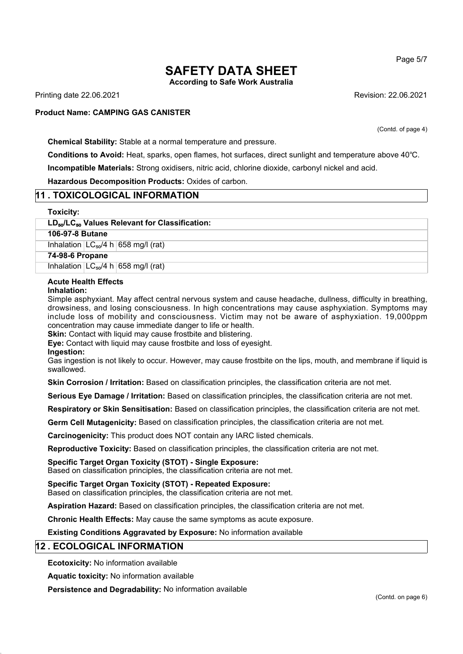# **SAFETY DATA SHEET**

**According to Safe Work Australia**

Printing date 22.06.2021 Revision: 22.06.2021

#### **Product Name: CAMPING GAS CANISTER**

(Contd. of page 4)

**Chemical Stability:** Stable at a normal temperature and pressure.

**Conditions to Avoid:** Heat, sparks, open flames, hot surfaces, direct sunlight and temperature above 40℃.

**Incompatible Materials:** Strong oxidisers, nitric acid, chlorine dioxide, carbonyl nickel and acid.

**Hazardous Decomposition Products:** Oxides of carbon.

### **11 . TOXICOLOGICAL INFORMATION**

#### **Toxicity:**

#### **LD**₅₀**/LC**₅₀ **Values Relevant for Classification:**

**106-97-8 Butane**

Inhalation  $LC_{50}/4$  h 658 mg/l (rat)

**74-98-6 Propane**

Inhalation  $LC_{50}/4$  h 658 mg/l (rat)

#### **Acute Health Effects**

#### **Inhalation:**

Simple asphyxiant. May affect central nervous system and cause headache, dullness, difficulty in breathing, drowsiness, and losing consciousness. In high concentrations may cause asphyxiation. Symptoms may include loss of mobility and consciousness. Victim may not be aware of asphyxiation. 19,000ppm concentration may cause immediate danger to life or health.

**Skin:** Contact with liquid may cause frostbite and blistering.

**Eye:** Contact with liquid may cause frostbite and loss of eyesight.

**Ingestion:**

Gas ingestion is not likely to occur. However, may cause frostbite on the lips, mouth, and membrane if liquid is swallowed.

**Skin Corrosion / Irritation:** Based on classification principles, the classification criteria are not met.

**Serious Eye Damage / Irritation:** Based on classification principles, the classification criteria are not met.

**Respiratory or Skin Sensitisation:** Based on classification principles, the classification criteria are not met.

**Germ Cell Mutagenicity:** Based on classification principles, the classification criteria are not met.

**Carcinogenicity:** This product does NOT contain any IARC listed chemicals.

**Reproductive Toxicity:** Based on classification principles, the classification criteria are not met.

**Specific Target Organ Toxicity (STOT) - Single Exposure:**

Based on classification principles, the classification criteria are not met.

**Specific Target Organ Toxicity (STOT) - Repeated Exposure:**

Based on classification principles, the classification criteria are not met.

**Aspiration Hazard:** Based on classification principles, the classification criteria are not met.

**Chronic Health Effects:** May cause the same symptoms as acute exposure.

**Existing Conditions Aggravated by Exposure:** No information available

### **12 . ECOLOGICAL INFORMATION**

**Ecotoxicity:** No information available

**Aquatic toxicity:** No information available

**Persistence and Degradability:** No information available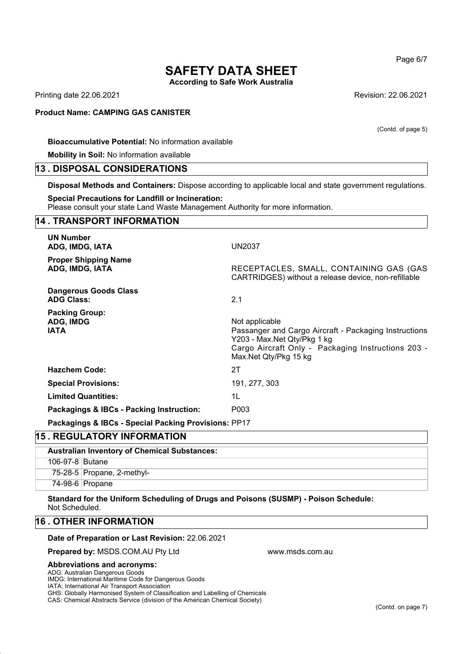# **SAFETY DATA SHEET**

**According to Safe Work Australia**

Printing date 22.06.2021 Revision: 22.06.2021

#### **Product Name: CAMPING GAS CANISTER**

**Bioaccumulative Potential:** No information available

**Mobility in Soil:** No information available

#### **13 . DISPOSAL CONSIDERATIONS**

**Disposal Methods and Containers:** Dispose according to applicable local and state government regulations.

#### **Special Precautions for Landfill or Incineration:**

Please consult your state Land Waste Management Authority for more information.

## **14 . TRANSPORT INFORMATION UN Number ADG, IMDG, IATA** UN2037 **Proper Shipping Name ADG, IMDG, IATA** RECEPTACLES, SMALL, CONTAINING GAS (GAS CARTRIDGES) without a release device, non-refillable **Dangerous Goods Class ADG Class:** 2.1 **Packing Group:** ADG, IMDG **Not applicable** Not applicable **IATA Passanger and Cargo Aircraft - Packaging Instructions** Y203 - Max.Net Qty/Pkg 1 kg Cargo Aircraft Only - Packaging Instructions 203 -Max.Net Qty/Pkg 15 kg **Hazchem Code:** 2T **Special Provisions:** 191, 277, 303 **Limited Quantities:** 1L **Packagings & IBCs - Packing Instruction:** P003 **Packagings & IBCs - Special Packing Provisions:** PP17

### **15 . REGULATORY INFORMATION**

| <b>Australian Inventory of Chemical Substances:</b> |                            |  |
|-----------------------------------------------------|----------------------------|--|
| 106-97-8 Butane                                     |                            |  |
|                                                     | 75-28-5 Propane, 2-methyl- |  |
|                                                     | 74-98-6 Propane            |  |

www.msds.com.au

**Standard for the Uniform Scheduling of Drugs and Poisons (SUSMP) - Poison Schedule:** Not Scheduled.

#### **16 . OTHER INFORMATION**

#### **Date of Preparation or Last Revision:** 22.06.2021

**Prepared by:** MSDS.COM.AU Pty Ltd

#### **Abbreviations and acronyms:**

ADG: Australian Dangerous Goods

IMDG: International Maritime Code for Dangerous Goods

IATA: International Air Transport Association

GHS: Globally Harmonised System of Classification and Labelling of Chemicals

CAS: Chemical Abstracts Service (division of the American Chemical Society)

Page 6/7

(Contd. of page 5)